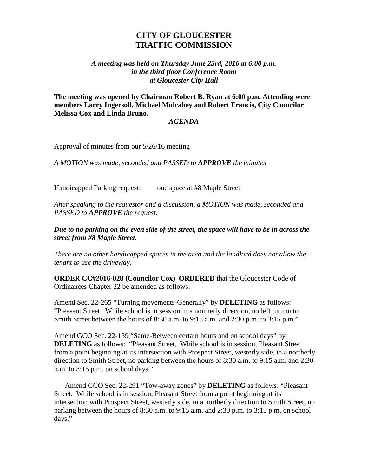## **CITY OF GLOUCESTER TRAFFIC COMMISSION**

## *A meeting was held on Thursday June 23rd, 2016 at 6:00 p.m. in the third floor Conference Room at Gloucester City Hall*

**The meeting was opened by Chairman Robert B. Ryan at 6:00 p.m. Attending were members Larry Ingersoll, Michael Mulcahey and Robert Francis, City Councilor Melissa Cox and Linda Bruno.**

## *AGENDA*

Approval of minutes from our 5/26/16 meeting

*A MOTION was made, seconded and PASSED to APPROVE the minutes*

Handicapped Parking request: one space at #8 Maple Street

*After speaking to the requestor and a discussion, a MOTION was made, seconded and PASSED to APPROVE the request.*

*Due to no parking on the even side of the street, the space will have to be in across the street from #8 Maple Street.*

*There are no other handicapped spaces in the area and the landlord does not allow the tenant to use the driveway.*

**ORDER CC#2016-028 (Councilor Cox) ORDERED** that the Gloucester Code of Ordinances Chapter 22 be amended as follows:

Amend Sec. 22-265 "Turning movements-Generally" by **DELETING** as follows: "Pleasant Street. While school is in session in a northerly direction, no left turn onto Smith Street between the hours of 8:30 a.m. to 9:15 a.m. and 2:30 p.m. to 3:15 p.m."

Amend GCO Sec. 22-159 "Same-Between certain hours and on school days" by **DELETING** as follows: "Pleasant Street. While school is in session, Pleasant Street from a point beginning at its intersection with Prospect Street, westerly side, in a northerly direction to Smith Street, no parking between the hours of 8:30 a.m. to 9:15 a.m. and 2:30 p.m. to 3:15 p.m. on school days."

Amend GCO Sec. 22-291 "Tow-away zones" by **DELETING** as follows: "Pleasant Street. While school is in session, Pleasant Street from a point beginning at its intersection with Prospect Street, westerly side, in a northerly direction to Smith Street, no parking between the hours of 8:30 a.m. to 9:15 a.m. and 2:30 p.m. to 3:15 p.m. on school days."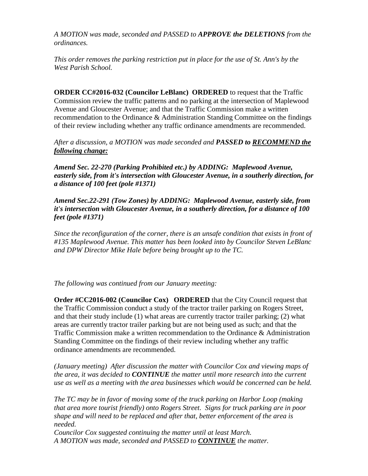*A MOTION was made, seconded and PASSED to APPROVE the DELETIONS from the ordinances.*

*This order removes the parking restriction put in place for the use of St. Ann's by the West Parish School.*

**ORDER CC#2016-032 (Councilor LeBlanc) ORDERED** to request that the Traffic Commission review the traffic patterns and no parking at the intersection of Maplewood Avenue and Gloucester Avenue; and that the Traffic Commission make a written recommendation to the Ordinance & Administration Standing Committee on the findings of their review including whether any traffic ordinance amendments are recommended.

*After a discussion, a MOTION was made seconded and PASSED to RECOMMEND the following change:*

*Amend Sec. 22-270 (Parking Prohibited etc.) by ADDING: Maplewood Avenue, easterly side, from it's intersection with Gloucester Avenue, in a southerly direction, for a distance of 100 feet (pole #1371)*

*Amend Sec.22-291 (Tow Zones) by ADDING: Maplewood Avenue, easterly side, from it's intersection with Gloucester Avenue, in a southerly direction, for a distance of 100 feet (pole #1371)*

*Since the reconfiguration of the corner, there is an unsafe condition that exists in front of #135 Maplewood Avenue. This matter has been looked into by Councilor Steven LeBlanc and DPW Director Mike Hale before being brought up to the TC.*

*The following was continued from our January meeting:*

**Order #CC2016-002 (Councilor Cox) ORDERED** that the City Council request that the Traffic Commission conduct a study of the tractor trailer parking on Rogers Street, and that their study include (1) what areas are currently tractor trailer parking; (2) what areas are currently tractor trailer parking but are not being used as such; and that the Traffic Commission make a written recommendation to the Ordinance & Administration Standing Committee on the findings of their review including whether any traffic ordinance amendments are recommended.

*(January meeting) After discussion the matter with Councilor Cox and viewing maps of the area, it was decided to CONTINUE the matter until more research into the current use as well as a meeting with the area businesses which would be concerned can be held.* 

*The TC may be in favor of moving some of the truck parking on Harbor Loop (making that area more tourist friendly) onto Rogers Street. Signs for truck parking are in poor shape and will need to be replaced and after that, better enforcement of the area is needed.*

*Councilor Cox suggested continuing the matter until at least March. A MOTION was made, seconded and PASSED to CONTINUE the matter.*